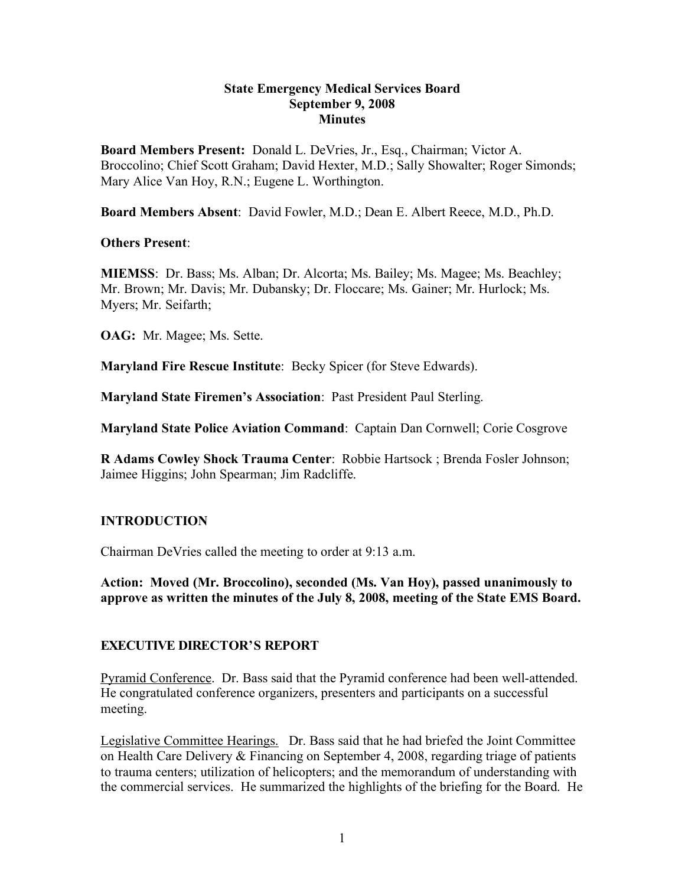#### **State Emergency Medical Services Board September 9, 2008 Minutes**

**Board Members Present:** Donald L. DeVries, Jr., Esq., Chairman; Victor A. Broccolino; Chief Scott Graham; David Hexter, M.D.; Sally Showalter; Roger Simonds; Mary Alice Van Hoy, R.N.; Eugene L. Worthington.

**Board Members Absent**: David Fowler, M.D.; Dean E. Albert Reece, M.D., Ph.D.

#### **Others Present**:

**MIEMSS**: Dr. Bass; Ms. Alban; Dr. Alcorta; Ms. Bailey; Ms. Magee; Ms. Beachley; Mr. Brown; Mr. Davis; Mr. Dubansky; Dr. Floccare; Ms. Gainer; Mr. Hurlock; Ms. Myers; Mr. Seifarth;

**OAG:** Mr. Magee; Ms. Sette.

**Maryland Fire Rescue Institute**: Becky Spicer (for Steve Edwards).

**Maryland State Firemen's Association**: Past President Paul Sterling.

**Maryland State Police Aviation Command**: Captain Dan Cornwell; Corie Cosgrove

**R Adams Cowley Shock Trauma Center**: Robbie Hartsock ; Brenda Fosler Johnson; Jaimee Higgins; John Spearman; Jim Radcliffe.

### **INTRODUCTION**

Chairman DeVries called the meeting to order at 9:13 a.m.

**Action: Moved (Mr. Broccolino), seconded (Ms. Van Hoy), passed unanimously to approve as written the minutes of the July 8, 2008, meeting of the State EMS Board.**

### **EXECUTIVE DIRECTOR'S REPORT**

Pyramid Conference. Dr. Bass said that the Pyramid conference had been well-attended. He congratulated conference organizers, presenters and participants on a successful meeting.

Legislative Committee Hearings. Dr. Bass said that he had briefed the Joint Committee on Health Care Delivery & Financing on September 4, 2008, regarding triage of patients to trauma centers; utilization of helicopters; and the memorandum of understanding with the commercial services. He summarized the highlights of the briefing for the Board. He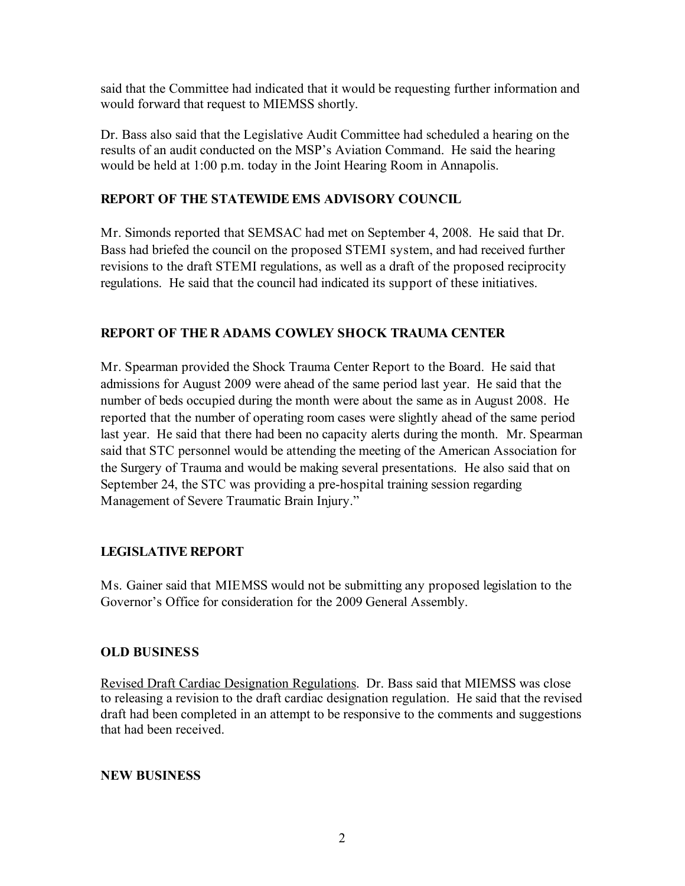said that the Committee had indicated that it would be requesting further information and would forward that request to MIEMSS shortly.

Dr. Bass also said that the Legislative Audit Committee had scheduled a hearing on the results of an audit conducted on the MSP's Aviation Command. He said the hearing would be held at 1:00 p.m. today in the Joint Hearing Room in Annapolis.

## **REPORT OF THE STATEWIDE EMS ADVISORY COUNCIL**

Mr. Simonds reported that SEMSAC had met on September 4, 2008. He said that Dr. Bass had briefed the council on the proposed STEMI system, and had received further revisions to the draft STEMI regulations, as well as a draft of the proposed reciprocity regulations. He said that the council had indicated its support of these initiatives.

# **REPORT OF THE R ADAMS COWLEY SHOCK TRAUMA CENTER**

Mr. Spearman provided the Shock Trauma Center Report to the Board. He said that admissions for August 2009 were ahead of the same period last year. He said that the number of beds occupied during the month were about the same as in August 2008. He reported that the number of operating room cases were slightly ahead of the same period last year. He said that there had been no capacity alerts during the month. Mr. Spearman said that STC personnel would be attending the meeting of the American Association for the Surgery of Trauma and would be making several presentations. He also said that on September 24, the STC was providing a pre-hospital training session regarding Management of Severe Traumatic Brain Injury."

### **LEGISLATIVE REPORT**

Ms. Gainer said that MIEMSS would not be submitting any proposed legislation to the Governor's Office for consideration for the 2009 General Assembly.

### **OLD BUSINESS**

Revised Draft Cardiac Designation Regulations. Dr. Bass said that MIEMSS was close to releasing a revision to the draft cardiac designation regulation. He said that the revised draft had been completed in an attempt to be responsive to the comments and suggestions that had been received.

### **NEW BUSINESS**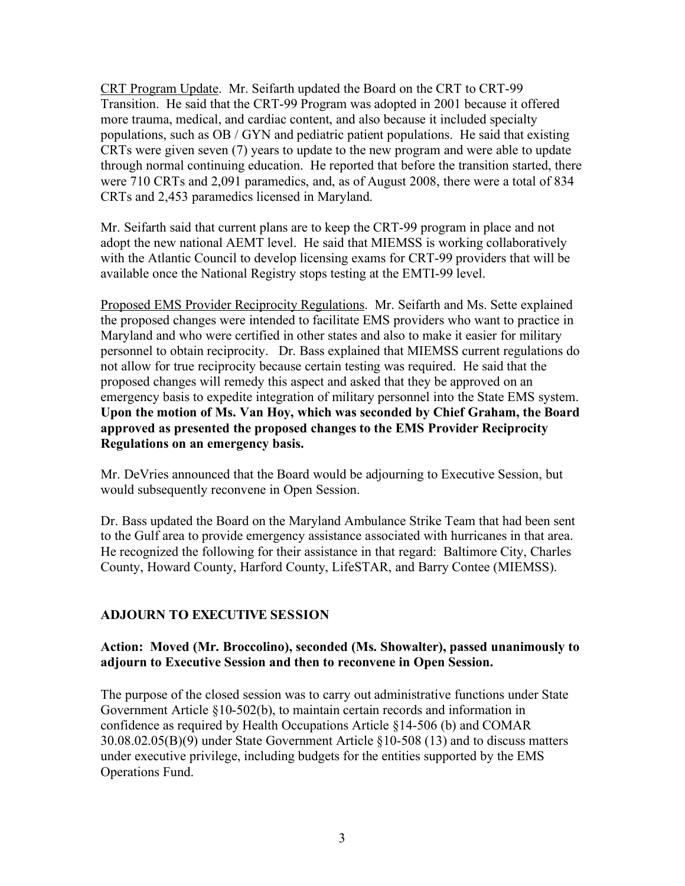CRT Program Update. Mr. Seifarth updated the Board on the CRT to CRT-99 Transition. He said that the CRT-99 Program was adopted in 2001 because it offered more trauma, medical, and cardiac content, and also because it included specialty populations, such as OB / GYN and pediatric patient populations. He said that existing CRTs were given seven (7) years to update to the new program and were able to update through normal continuing education. He reported that before the transition started, there were 710 CRTs and 2,091 paramedics, and, as of August 2008, there were a total of 834 CRTs and 2,453 paramedics licensed in Maryland.

Mr. Seifarth said that current plans are to keep the CRT-99 program in place and not adopt the new national AEMT level. He said that MIEMSS is working collaboratively with the Atlantic Council to develop licensing exams for CRT-99 providers that will be available once the National Registry stops testing at the EMTI-99 level.

Proposed EMS Provider Reciprocity Regulations. Mr. Seifarth and Ms. Sette explained the proposed changes were intended to facilitate EMS providers who want to practice in Maryland and who were certified in other states and also to make it easier for military personnel to obtain reciprocity. Dr. Bass explained that MIEMSS current regulations do not allow for true reciprocity because certain testing was required. He said that the proposed changes will remedy this aspect and asked that they be approved on an emergency basis to expedite integration of military personnel into the State EMS system. **Upon the motion of Ms. Van Hoy, which was seconded by Chief Graham, the Board approved as presented the proposed changes to the EMS Provider Reciprocity Regulations on an emergency basis.**

Mr. DeVries announced that the Board would be adjourning to Executive Session, but would subsequently reconvene in Open Session.

Dr. Bass updated the Board on the Maryland Ambulance Strike Team that had been sent to the Gulf area to provide emergency assistance associated with hurricanes in that area. He recognized the following for their assistance in that regard: Baltimore City, Charles County, Howard County, Harford County, LifeSTAR, and Barry Contee (MIEMSS).

### **ADJOURN TO EXECUTIVE SESSION**

#### **Action: Moved (Mr. Broccolino), seconded (Ms. Showalter), passed unanimously to adjourn to Executive Session and then to reconvene in Open Session.**

The purpose of the closed session was to carry out administrative functions under State Government Article §10-502(b), to maintain certain records and information in confidence as required by Health Occupations Article §14-506 (b) and COMAR 30.08.02.05(B)(9) under State Government Article §10-508 (13) and to discuss matters under executive privilege, including budgets for the entities supported by the EMS Operations Fund.